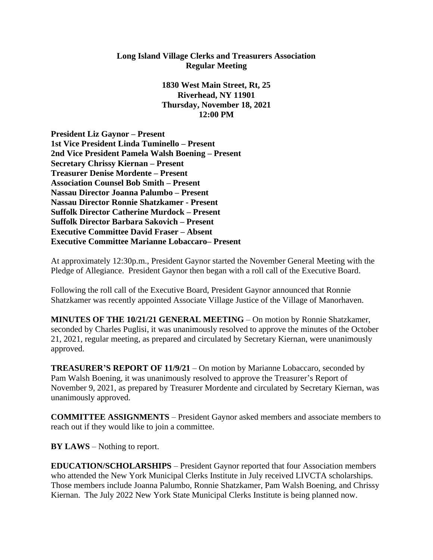## **Long Island Village Clerks and Treasurers Association Regular Meeting**

**1830 West Main Street, Rt, 25 Riverhead, NY 11901 Thursday, November 18, 2021 12:00 PM**

**President Liz Gaynor – Present 1st Vice President Linda Tuminello – Present 2nd Vice President Pamela Walsh Boening – Present Secretary Chrissy Kiernan – Present Treasurer Denise Mordente – Present Association Counsel Bob Smith – Present Nassau Director Joanna Palumbo – Present Nassau Director Ronnie Shatzkamer - Present Suffolk Director Catherine Murdock – Present Suffolk Director Barbara Sakovich – Present Executive Committee David Fraser – Absent Executive Committee Marianne Lobaccaro– Present**

At approximately 12:30p.m., President Gaynor started the November General Meeting with the Pledge of Allegiance. President Gaynor then began with a roll call of the Executive Board.

Following the roll call of the Executive Board, President Gaynor announced that Ronnie Shatzkamer was recently appointed Associate Village Justice of the Village of Manorhaven.

**MINUTES OF THE 10/21/21 GENERAL MEETING** – On motion by Ronnie Shatzkamer, seconded by Charles Puglisi, it was unanimously resolved to approve the minutes of the October 21, 2021, regular meeting, as prepared and circulated by Secretary Kiernan, were unanimously approved.

**TREASURER'S REPORT OF 11/9/21** – On motion by Marianne Lobaccaro, seconded by Pam Walsh Boening, it was unanimously resolved to approve the Treasurer's Report of November 9, 2021, as prepared by Treasurer Mordente and circulated by Secretary Kiernan, was unanimously approved.

**COMMITTEE ASSIGNMENTS** – President Gaynor asked members and associate members to reach out if they would like to join a committee.

**BY LAWS** – Nothing to report.

**EDUCATION/SCHOLARSHIPS** – President Gaynor reported that four Association members who attended the New York Municipal Clerks Institute in July received LIVCTA scholarships. Those members include Joanna Palumbo, Ronnie Shatzkamer, Pam Walsh Boening, and Chrissy Kiernan. The July 2022 New York State Municipal Clerks Institute is being planned now.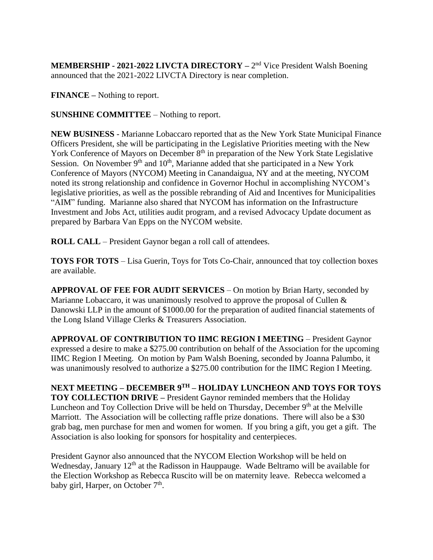**MEMBERSHIP - 2021-2022 LIVCTA DIRECTORY** – 2<sup>nd</sup> Vice President Walsh Boening announced that the 2021-2022 LIVCTA Directory is near completion.

**FINANCE –** Nothing to report.

**SUNSHINE COMMITTEE** – Nothing to report.

**NEW BUSINESS** - Marianne Lobaccaro reported that as the New York State Municipal Finance Officers President, she will be participating in the Legislative Priorities meeting with the New York Conference of Mayors on December 8<sup>th</sup> in preparation of the New York State Legislative Session. On November  $9<sup>th</sup>$  and  $10<sup>th</sup>$ , Marianne added that she participated in a New York Conference of Mayors (NYCOM) Meeting in Canandaigua, NY and at the meeting, NYCOM noted its strong relationship and confidence in Governor Hochul in accomplishing NYCOM's legislative priorities, as well as the possible rebranding of Aid and Incentives for Municipalities "AIM" funding. Marianne also shared that NYCOM has information on the Infrastructure Investment and Jobs Act, utilities audit program, and a revised Advocacy Update document as prepared by Barbara Van Epps on the NYCOM website.

**ROLL CALL** – President Gaynor began a roll call of attendees.

**TOYS FOR TOTS** – Lisa Guerin, Toys for Tots Co-Chair, announced that toy collection boxes are available.

**APPROVAL OF FEE FOR AUDIT SERVICES** – On motion by Brian Harty, seconded by Marianne Lobaccaro, it was unanimously resolved to approve the proposal of Cullen & Danowski LLP in the amount of \$1000.00 for the preparation of audited financial statements of the Long Island Village Clerks & Treasurers Association.

**APPROVAL OF CONTRIBUTION TO IIMC REGION I MEETING** – President Gaynor expressed a desire to make a \$275.00 contribution on behalf of the Association for the upcoming IIMC Region I Meeting. On motion by Pam Walsh Boening, seconded by Joanna Palumbo, it was unanimously resolved to authorize a \$275.00 contribution for the IIMC Region I Meeting.

**NEXT MEETING – DECEMBER 9TH – HOLIDAY LUNCHEON AND TOYS FOR TOYS TOY COLLECTION DRIVE –** President Gaynor reminded members that the Holiday Luncheon and Toy Collection Drive will be held on Thursday, December 9<sup>th</sup> at the Melville Marriott. The Association will be collecting raffle prize donations. There will also be a \$30 grab bag, men purchase for men and women for women. If you bring a gift, you get a gift. The Association is also looking for sponsors for hospitality and centerpieces.

President Gaynor also announced that the NYCOM Election Workshop will be held on Wednesday, January  $12<sup>th</sup>$  at the Radisson in Hauppauge. Wade Beltramo will be available for the Election Workshop as Rebecca Ruscito will be on maternity leave. Rebecca welcomed a baby girl, Harper, on October  $7<sup>th</sup>$ .